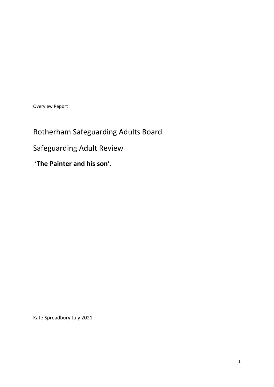Overview Report

Rotherham Safeguarding Adults Board Safeguarding Adult Review '**The Painter and his son'.**

Kate Spreadbury July 2021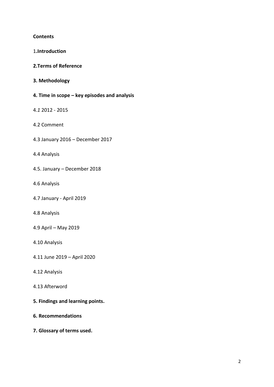#### **Contents**

| 1.Introduction                               |
|----------------------------------------------|
| 2. Terms of Reference                        |
| 3. Methodology                               |
| 4. Time in scope – key episodes and analysis |
| 4.1 2012 - 2015                              |
| 4.2 Comment                                  |
| 4.3 January 2016 - December 2017             |
| 4.4 Analysis                                 |
| 4.5. January - December 2018                 |
| 4.6 Analysis                                 |
| 4.7 January - April 2019                     |
| 4.8 Analysis                                 |
| 4.9 April - May 2019                         |
| 4.10 Analysis                                |
| 4.11 June 2019 - April 2020                  |
| 4.12 Analysis                                |
| 4.13 Afterword                               |
| 5. Findings and learning points.             |
| <b>6. Recommendations</b>                    |

**7. Glossary of terms used.**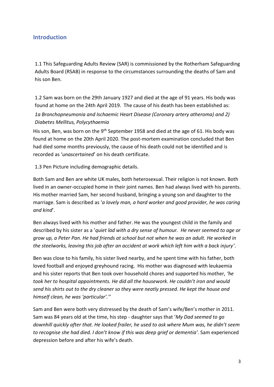# **Introduction**

1.1 This Safeguarding Adults Review (SAR) is commissioned by the Rotherham Safeguarding Adults Board (RSAB) in response to the circumstances surrounding the deaths of Sam and his son Ben.

1.2 Sam was born on the 29th January 1927 and died at the age of 91 years. His body was found at home on the 24th April 2019. The cause of his death has been established as: *1a Bronchopneumonia and Ischaemic Heart Disease (Coronary artery atheroma) and 2) Diabetes Mellitus, Polycythaemia*

His son, Ben, was born on the 9<sup>th</sup> September 1958 and died at the age of 61. His body was found at home on the 20th April 2020. The post-mortem examination concluded that Ben had died some months previously, the cause of his death could not be identified and is recorded as '*unascertained*' on his death certificate.

1.3 Pen Picture including demographic details.

Both Sam and Ben are white UK males, both heterosexual. Their religion is not known. Both lived in an owner-occupied home in their joint names. Ben had always lived with his parents. His mother married Sam, her second husband, bringing a young son and daughter to the marriage. Sam is described as '*a lovely man, a hard worker and good provider, he was caring and kind*'.

Ben always lived with his mother and father. He was the youngest child in the family and described by his sister as a '*quiet lad with a dry sense of humour. He never seemed to age or grow up, a Peter Pan. He had friends at school but not when he was an adult. He worked in the steelworks, leaving this job after an accident at work which left him with a back injury'*.

Ben was close to his family, his sister lived nearby, and he spent time with his father, both loved football and enjoyed greyhound racing. His mother was diagnosed with leukaemia and his sister reports that Ben took over household chores and supported his mother, *'he took her to hospital appointments. He did all the housework. He couldn't iron and would send his shirts out to the dry cleaner so they were neatly pressed. He kept the house and himself clean, he was 'particular'.''*

Sam and Ben were both very distressed by the death of Sam's wife/Ben's mother in 2011. Sam was 84 years old at the time, his step - daughter says that '*My Dad seemed to go downhill quickly after that. He looked frailer, he used to ask where Mum was, he didn't seem to recognise she had died. I don't know if this was deep grief or dementia'*. Sam experienced depression before and after his wife's death.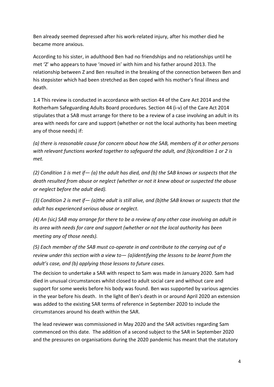Ben already seemed depressed after his work-related injury, after his mother died he became more anxious.

According to his sister, in adulthood Ben had no friendships and no relationships until he met 'Z' who appears to have 'moved in' with him and his father around 2013. The relationship between Z and Ben resulted in the breaking of the connection between Ben and his stepsister which had been stretched as Ben coped with his mother's final illness and death.

1.4 This review is conducted in accordance with section 44 of the Care Act 2014 and the Rotherham Safeguarding Adults Board procedures. Section 44 (i-v) of the Care Act 2014 stipulates that a SAB must arrange for there to be a review of a case involving an adult in its area with needs for care and support (whether or not the local authority has been meeting any of those needs) if:

*(a) there is reasonable cause for concern about how the SAB, members of it or other persons with relevant functions worked together to safeguard the adult, and (b)condition 1 or 2 is met.*

*(2) Condition 1 is met if— (a) the adult has died, and (b) the SAB knows or suspects that the death resulted from abuse or neglect (whether or not it knew about or suspected the abuse or neglect before the adult died).*

*(3) Condition 2 is met if— (a)the adult is still alive, and (b)the SAB knows or suspects that the adult has experienced serious abuse or neglect.*

*(4) An (*sic*) SAB may arrange for there to be a review of any other case involving an adult in its area with needs for care and support (whether or not the local authority has been meeting any of those needs).*

*(5) Each member of the SAB must co-operate in and contribute to the carrying out of a review under this section with a view to— (a)identifying the lessons to be learnt from the adult's case, and (b) applying those lessons to future cases.*

The decision to undertake a SAR with respect to Sam was made in January 2020. Sam had died in unusual circumstances whilst closed to adult social care and without care and support for some weeks before his body was found. Ben was supported by various agencies in the year before his death. In the light of Ben's death in or around April 2020 an extension was added to the existing SAR terms of reference in September 2020 to include the circumstances around his death within the SAR.

The lead reviewer was commissioned in May 2020 and the SAR activities regarding Sam commenced on this date. The addition of a second subject to the SAR in September 2020 and the pressures on organisations during the 2020 pandemic has meant that the statutory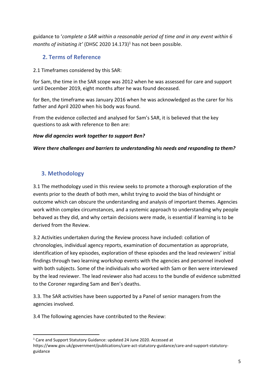guidance to '*complete a SAR within a reasonable period of time and in any event within 6 months of initiating it'* (DHSC 2020 14.173)<sup>1</sup> has not been possible.

# **2. Terms of Reference**

2.1 Timeframes considered by this SAR:

for Sam, the time in the SAR scope was 2012 when he was assessed for care and support until December 2019, eight months after he was found deceased.

for Ben, the timeframe was January 2016 when he was acknowledged as the carer for his father and April 2020 when his body was found.

From the evidence collected and analysed for Sam's SAR, it is believed that the key questions to ask with reference to Ben are:

## *How did agencies work together to support Ben?*

*Were there challenges and barriers to understanding his needs and responding to them?* 

# **3. Methodology**

3.1 The methodology used in this review seeks to promote a thorough exploration of the events prior to the death of both men, whilst trying to avoid the bias of hindsight or outcome which can obscure the understanding and analysis of important themes. Agencies work within complex circumstances, and a systemic approach to understanding why people behaved as they did, and why certain decisions were made, is essential if learning is to be derived from the Review.

3.2 Activities undertaken during the Review process have included: collation of chronologies, individual agency reports, examination of documentation as appropriate, identification of key episodes, exploration of these episodes and the lead reviewers' initial findings through two learning workshop events with the agencies and personnel involved with both subjects. Some of the individuals who worked with Sam or Ben were interviewed by the lead reviewer. The lead reviewer also had access to the bundle of evidence submitted to the Coroner regarding Sam and Ben's deaths.

3.3. The SAR activities have been supported by a Panel of senior managers from the agencies involved.

3.4 The following agencies have contributed to the Review:

<sup>1</sup> Care and Support Statutory Guidance: updated 24 June 2020. Accessed at

https://www.gov.uk/government/publications/care-act-statutory-guidance/care-and-support-statutoryguidance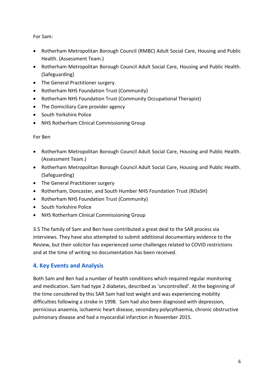For Sam:

- Rotherham Metropolitan Borough Council (RMBC) Adult Social Care, Housing and Public Health. (Assessment Team.)
- Rotherham Metropolitan Borough Council Adult Social Care, Housing and Public Health. (Safeguarding)
- The General Practitioner surgery.
- Rotherham NHS Foundation Trust (Community)
- Rotherham NHS Foundation Trust (Community Occupational Therapist)
- The Domiciliary Care provider agency
- South Yorkshire Police
- NHS Rotherham Clinical Commissioning Group

#### For Ben

- Rotherham Metropolitan Borough Council Adult Social Care, Housing and Public Health. (Assessment Team.)
- Rotherham Metropolitan Borough Council Adult Social Care, Housing and Public Health. (Safeguarding)
- The General Practitioner surgery
- Rotherham, Doncaster, and South Humber NHS Foundation Trust (RDaSH)
- Rotherham NHS Foundation Trust (Community)
- South Yorkshire Police
- NHS Rotherham Clinical Commissioning Group

3.5 The family of Sam and Ben have contributed a great deal to the SAR process via interviews. They have also attempted to submit additional documentary evidence to the Review, but their solicitor has experienced some challenges related to COVID restrictions and at the time of writing no documentation has been received.

# **4. Key Events and Analysis**

Both Sam and Ben had a number of health conditions which required regular monitoring and medication. Sam had type 2 diabetes, described as 'uncontrolled'. At the beginning of the time considered by this SAR Sam had lost weight and was experiencing mobility difficulties following a stroke in 1998. Sam had also been diagnosed with depression, pernicious anaemia, ischaemic heart disease, secondary polycythaemia, chronic obstructive pulmonary disease and had a myocardial infarction in November 2015.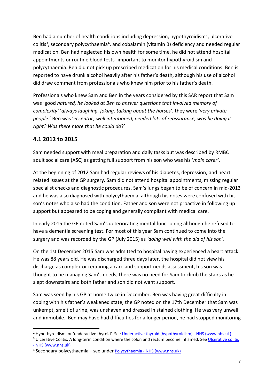Ben had a number of health conditions including depression, hypothyroidism<sup>2</sup>, ulcerative colitis<sup>3</sup>, secondary polycythaemia<sup>4</sup>, and cobalamin (vitamin B) deficiency and needed regular medication. Ben had neglected his own health for some time, he did not attend hospital appointments or routine blood tests- important to monitor hypothyroidism and polycythaemia. Ben did not pick up prescribed medication for his medical conditions. Ben is reported to have drunk alcohol heavily after his father's death, although his use of alcohol did draw comment from professionals who knew him prior to his father's death.

Professionals who knew Sam and Ben in the years considered by this SAR report that Sam was 'good *natured, he looked at Ben to answer questions that involved memory of complexity'* '*always laughing, joking, talking about the horses'*, they were '*very private people*.' Ben was '*eccentric, well intentioned, needed lots of reassurance, was he doing it right? Was there more that he could do*?'

# **4.1 2012 to 2015**

Sam needed support with meal preparation and daily tasks but was described by RMBC adult social care (ASC) as getting full support from his son who was his '*main carer'*.

At the beginning of 2012 Sam had regular reviews of his diabetes, depression, and heart related issues at the GP surgery. Sam did not attend hospital appointments, missing regular specialist checks and diagnostic procedures. Sam's lungs began to be of concern in mid-2013 and he was also diagnosed with polycythaemia, although his notes were confused with his son's notes who also had the condition. Father and son were not proactive in following up support but appeared to be coping and generally compliant with medical care.

In early 2015 the GP noted Sam's deteriorating mental functioning although he refused to have a dementia screening test. For most of this year Sam continued to come into the surgery and was recorded by the GP (July 2015) as *'doing well with the aid of his son'*.

On the 1st December 2015 Sam was admitted to hospital having experienced a heart attack. He was 88 years old. He was discharged three days later, the hospital did not view his discharge as complex or requiring a care and support needs assessment, his son was thought to be managing Sam's needs, there was no need for Sam to climb the stairs as he slept downstairs and both father and son did not want support.

Sam was seen by his GP at home twice in December. Ben was having great difficulty in coping with his father's weakened state, the GP noted on the 17th December that Sam was unkempt, smelt of urine, was unshaven and dressed in stained clothing. He was very unwell and immobile. Ben may have had difficulties for a longer period, he had stopped monitoring

<sup>3</sup> Ulcerative Colitis. A long-term condition where the colon and rectum become inflamed. See Ulcerative colitis - [NHS \(www.nhs.uk\)](https://www.nhs.uk/conditions/ulcerative-colitis/)

<sup>2</sup> Hypothyroidism: or 'underactive thyroid'. See [Underactive thyroid \(hypothyroidism\) -](https://www.nhs.uk/conditions/underactive-thyroid-hypothyroidism/) NHS (www.nhs.uk)

<sup>4</sup> Secondary polycythaemia – see under Polycythaemia - [NHS \(www.nhs.uk\)](https://www.nhs.uk/conditions/polycythaemia/)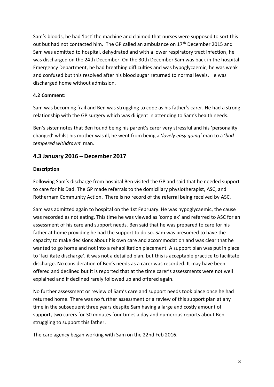Sam's bloods, he had 'lost' the machine and claimed that nurses were supposed to sort this out but had not contacted him. The GP called an ambulance on 17<sup>th</sup> December 2015 and Sam was admitted to hospital, dehydrated and with a lower respiratory tract infection, he was discharged on the 24th December. On the 30th December Sam was back in the hospital Emergency Department, he had breathing difficulties and was hypoglycaemic, he was weak and confused but this resolved after his blood sugar returned to normal levels. He was discharged home without admission.

### **4.2 Comment:**

Sam was becoming frail and Ben was struggling to cope as his father's carer. He had a strong relationship with the GP surgery which was diligent in attending to Sam's health needs.

Ben's sister notes that Ben found being his parent's carer very stressful and his 'personality changed' whilst his mother was ill, he went from being a '*lovely easy going'* man to a '*bad tempered withdrawn*' man.

# **4.3 January 2016 – December 2017**

#### **Description**

Following Sam's discharge from hospital Ben visited the GP and said that he needed support to care for his Dad. The GP made referrals to the domiciliary physiotherapist, ASC, and Rotherham Community Action. There is no record of the referral being received by ASC.

Sam was admitted again to hospital on the 1st February. He was hypoglycaemic, the cause was recorded as not eating. This time he was viewed as 'complex' and referred to ASC for an assessment of his care and support needs. Ben said that he was prepared to care for his father at home providing he had the support to do so. Sam was presumed to have the capacity to make decisions about his own care and accommodation and was clear that he wanted to go home and not into a rehabilitation placement. A support plan was put in place to 'facilitate discharge', it was not a detailed plan, but this is acceptable practice to facilitate discharge. No consideration of Ben's needs as a carer was recorded. It may have been offered and declined but it is reported that at the time carer's assessments were not well explained and if declined rarely followed up and offered again.

No further assessment or review of Sam's care and support needs took place once he had returned home. There was no further assessment or a review of this support plan at any time in the subsequent three years despite Sam having a large and costly amount of support, two carers for 30 minutes four times a day and numerous reports about Ben struggling to support this father.

The care agency began working with Sam on the 22nd Feb 2016.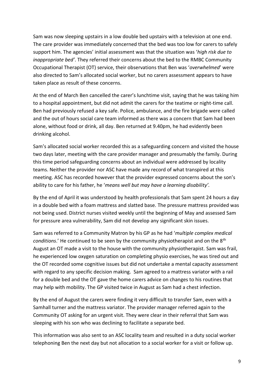Sam was now sleeping upstairs in a low double bed upstairs with a television at one end. The care provider was immediately concerned that the bed was too low for carers to safely support him. The agencies' initial assessment was that the situation was '*high risk due to inappropriate bed'*. They referred their concerns about the bed to the RMBC Community Occupational Therapist (OT) service, their observations that Ben was '*overwhelmed*' were also directed to Sam's allocated social worker, but no carers assessment appears to have taken place as result of these concerns.

At the end of March Ben cancelled the carer's lunchtime visit, saying that he was taking him to a hospital appointment, but did not admit the carers for the teatime or night-time call. Ben had previously refused a key safe. Police, ambulance, and the fire brigade were called and the out of hours social care team informed as there was a concern that Sam had been alone, without food or drink, all day. Ben returned at 9.40pm, he had evidently been drinking alcohol.

Sam's allocated social worker recorded this as a safeguarding concern and visited the house two days later, meeting with the care provider manager and presumably the family. During this time period safeguarding concerns about an individual were addressed by locality teams. Neither the provider nor ASC have made any record of what transpired at this meeting. ASC has recorded however that the provider expressed concerns about the son's ability to care for his father, he '*means well but may have a learning disability'.* 

By the end of April it was understood by health professionals that Sam spent 24 hours a day in a double bed with a foam mattress and slatted base. The pressure mattress provided was not being used. District nurses visited weekly until the beginning of May and assessed Sam for pressure area vulnerability, Sam did not develop any significant skin issues.

Sam was referred to a Community Matron by his GP as he had '*multiple complex medical conditions*.' He continued to be seen by the community physiotherapist and on the 8th August an OT made a visit to the house with the community physiotherapist. Sam was frail, he experienced low oxygen saturation on completing physio exercises, he was tired out and the OT recorded some cognitive issues but did not undertake a mental capacity assessment with regard to any specific decision making. Sam agreed to a mattress variator with a rail for a double bed and the OT gave the home carers advice on changes to his routines that may help with mobility. The GP visited twice in August as Sam had a chest infection.

By the end of August the carers were finding it very difficult to transfer Sam, even with a Samhall turner and the mattress variator. The provider manager referred again to the Community OT asking for an urgent visit. They were clear in their referral that Sam was sleeping with his son who was declining to facilitate a separate bed.

This information was also sent to an ASC locality team and resulted in a duty social worker telephoning Ben the next day but not allocation to a social worker for a visit or follow up.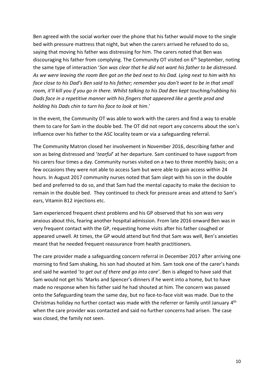Ben agreed with the social worker over the phone that his father would move to the single bed with pressure mattress that night, but when the carers arrived he refused to do so, saying that moving his father was distressing for him. The carers noted that Ben was discouraging his father from complying. The Community OT visited on 6<sup>th</sup> September, noting the same type of interaction '*Son was clear that he did not want his father to be distressed. As we were leaving the room Ben got on the bed next to his Dad. Lying next to him with his face close to his Dad's Ben said to his father; remember you don't want to be in that small room, it'll kill you if you go in there. Whilst talking to his Dad Ben kept touching/rubbing his Dads face in a repetitive manner with his fingers that appeared like a gentle prod and holding his Dads chin to turn his face to look at him*.'

In the event, the Community OT was able to work with the carers and find a way to enable them to care for Sam in the double bed. The OT did not report any concerns about the son's influence over his father to the ASC locality team or via a safeguarding referral.

The Community Matron closed her involvement in November 2016, describing father and son as being distressed and '*tearful*' at her departure. Sam continued to have support from his carers four times a day. Community nurses visited on a two to three monthly basis; on a few occasions they were not able to access Sam but were able to gain access within 24 hours. In August 2017 community nurses noted that Sam slept with his son in the double bed and preferred to do so, and that Sam had the mental capacity to make the decision to remain in the double bed. They continued to check for pressure areas and attend to Sam's ears, Vitamin B12 injections etc.

Sam experienced frequent chest problems and his GP observed that his son was very anxious about this, fearing another hospital admission. From late 2016 onward Ben was in very frequent contact with the GP, requesting home visits after his father coughed or appeared unwell. At times, the GP would attend but find that Sam was well, Ben's anxieties meant that he needed frequent reassurance from health practitioners.

The care provider made a safeguarding concern referral in December 2017 after arriving one morning to find Sam shaking, his son had shouted at him. Sam took one of the carer's hands and said he wanted '*to get out of there and go into care'*. Ben is alleged to have said that Sam would not get his 'Marks and Spencer's dinners if he went into a home, but to have made no response when his father said he had shouted at him. The concern was passed onto the Safeguarding team the same day, but no face-to-face visit was made. Due to the Christmas holiday no further contact was made with the referrer or family until January 4<sup>th</sup> when the care provider was contacted and said no further concerns had arisen. The case was closed, the family not seen.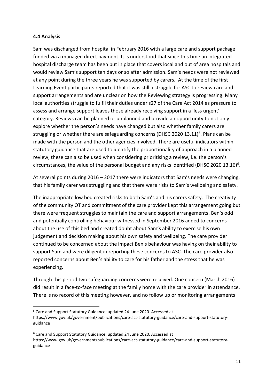#### **4.4 Analysis**

Sam was discharged from hospital in February 2016 with a large care and support package funded via a managed direct payment. It is understood that since this time an integrated hospital discharge team has been put in place that covers local and out of area hospitals and would review Sam's support ten days or so after admission. Sam's needs were not reviewed at any point during the three years he was supported by carers. At the time of the first Learning Event participants reported that it was still a struggle for ASC to review care and support arrangements and are unclear on how the Reviewing strategy is progressing. Many local authorities struggle to fulfil their duties under s27 of the Care Act 2014 as pressure to assess and arrange support leaves those already receiving support in a 'less urgent' category. Reviews can be planned or unplanned and provide an opportunity to not only explore whether the person's needs have changed but also whether family carers are struggling or whether there are safeguarding concerns (DHSC 2020 13.11)<sup>5</sup>. Plans can be made with the person and the other agencies involved. There are useful indicators within statutory guidance that are used to identify the proportionality of approach in a planned review, these can also be used when considering prioritising a review, i.e. the person's circumstances, the value of the personal budget and any risks identified (DHSC 2020 13.16)<sup>6</sup>.

At several points during 2016 – 2017 there were indicators that Sam's needs were changing, that his family carer was struggling and that there were risks to Sam's wellbeing and safety.

The inappropriate low bed created risks to both Sam's and his carers safety. The creativity of the community OT and commitment of the care provider kept this arrangement going but there were frequent struggles to maintain the care and support arrangements. Ben's odd and potentially controlling behaviour witnessed in September 2016 added to concerns about the use of this bed and created doubt about Sam's ability to exercise his own judgement and decision making about his own safety and wellbeing. The care provider continued to be concerned about the impact Ben's behaviour was having on their ability to support Sam and were diligent in reporting these concerns to ASC. The care provider also reported concerns about Ben's ability to care for his father and the stress that he was experiencing.

Through this period two safeguarding concerns were received. One concern (March 2016) did result in a face-to-face meeting at the family home with the care provider in attendance. There is no record of this meeting however, and no follow up or monitoring arrangements

<sup>5</sup> Care and Support Statutory Guidance: updated 24 June 2020. Accessed at https://www.gov.uk/government/publications/care-act-statutory-guidance/care-and-support-statutoryguidance

<sup>6</sup> Care and Support Statutory Guidance: updated 24 June 2020. Accessed at https://www.gov.uk/government/publications/care-act-statutory-guidance/care-and-support-statutoryguidance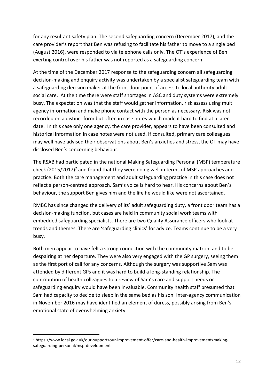for any resultant safety plan. The second safeguarding concern (December 2017), and the care provider's report that Ben was refusing to facilitate his father to move to a single bed (August 2016), were responded to via telephone calls only. The OT's experience of Ben exerting control over his father was not reported as a safeguarding concern.

At the time of the December 2017 response to the safeguarding concern all safeguarding decision-making and enquiry activity was undertaken by a specialist safeguarding team with a safeguarding decision maker at the front door point of access to local authority adult social care. At the time there were staff shortages in ASC and duty systems were extremely busy. The expectation was that the staff would gather information, risk assess using multi agency information and make phone contact with the person as necessary. Risk was not recorded on a distinct form but often in case notes which made it hard to find at a later date. In this case only one agency, the care provider, appears to have been consulted and historical information in case notes were not used. If consulted, primary care colleagues may well have advised their observations about Ben's anxieties and stress, the OT may have disclosed Ben's concerning behaviour.

The RSAB had participated in the national Making Safeguarding Personal (MSP) temperature check (2015/2017)<sup>7</sup> and found that they were doing well in terms of MSP approaches and practice. Both the care management and adult safeguarding practice in this case does not reflect a person-centred approach. Sam's voice is hard to hear. His concerns about Ben's behaviour, the support Ben gives him and the life he would like were not ascertained.

RMBC has since changed the delivery of its' adult safeguarding duty, a front door team has a decision-making function, but cases are held in community social work teams with embedded safeguarding specialists. There are two Quality Assurance officers who look at trends and themes. There are 'safeguarding clinics' for advice. Teams continue to be a very busy.

Both men appear to have felt a strong connection with the community matron, and to be despairing at her departure. They were also very engaged with the GP surgery, seeing them as the first port of call for any concerns. Although the surgery was supportive Sam was attended by different GPs and it was hard to build a long-standing relationship. The contribution of health colleagues to a review of Sam's care and support needs or safeguarding enquiry would have been invaluable. Community health staff presumed that Sam had capacity to decide to sleep in the same bed as his son. Inter-agency communication in November 2016 may have identified an element of duress, possibly arising from Ben's emotional state of overwhelming anxiety.

<sup>7</sup> https://www.local.gov.uk/our-support/our-improvement-offer/care-and-health-improvement/makingsafeguarding-personal/msp-development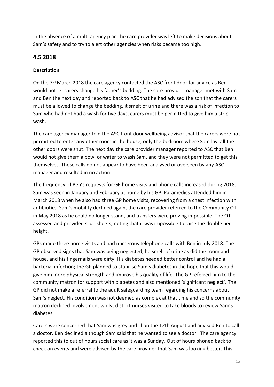In the absence of a multi-agency plan the care provider was left to make decisions about Sam's safety and to try to alert other agencies when risks became too high.

# **4.5 2018**

# **Description**

On the  $7<sup>th</sup>$  March 2018 the care agency contacted the ASC front door for advice as Ben would not let carers change his father's bedding. The care provider manager met with Sam and Ben the next day and reported back to ASC that he had advised the son that the carers must be allowed to change the bedding, it smelt of urine and there was a risk of infection to Sam who had not had a wash for five days, carers must be permitted to give him a strip wash.

The care agency manager told the ASC front door wellbeing advisor that the carers were not permitted to enter any other room in the house, only the bedroom where Sam lay, all the other doors were shut. The next day the care provider manager reported to ASC that Ben would not give them a bowl or water to wash Sam, and they were not permitted to get this themselves. These calls do not appear to have been analysed or overseen by any ASC manager and resulted in no action.

The frequency of Ben's requests for GP home visits and phone calls increased during 2018. Sam was seen in January and February at home by his GP. Paramedics attended him in March 2018 when he also had three GP home visits, recovering from a chest infection with antibiotics. Sam's mobility declined again, the care provider referred to the Community OT in May 2018 as he could no longer stand, and transfers were proving impossible. The OT assessed and provided slide sheets, noting that it was impossible to raise the double bed height.

GPs made three home visits and had numerous telephone calls with Ben in July 2018. The GP observed signs that Sam was being neglected, he smelt of urine as did the room and house, and his fingernails were dirty. His diabetes needed better control and he had a bacterial infection; the GP planned to stabilise Sam's diabetes in the hope that this would give him more physical strength and improve his quality of life. The GP referred him to the community matron for support with diabetes and also mentioned 'significant neglect'. The GP did not make a referral to the adult safeguarding team regarding his concerns about Sam's neglect. His condition was not deemed as complex at that time and so the community matron declined involvement whilst district nurses visited to take bloods to review Sam's diabetes.

Carers were concerned that Sam was grey and ill on the 12th August and advised Ben to call a doctor, Ben declined although Sam said that he wanted to see a doctor. The care agency reported this to out of hours social care as it was a Sunday. Out of hours phoned back to check on events and were advised by the care provider that Sam was looking better. This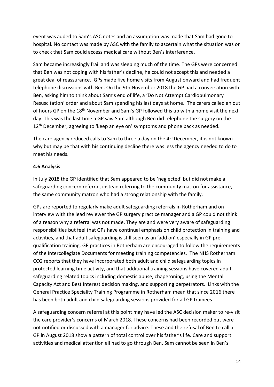event was added to Sam's ASC notes and an assumption was made that Sam had gone to hospital. No contact was made by ASC with the family to ascertain what the situation was or to check that Sam could access medical care without Ben's interference.

Sam became increasingly frail and was sleeping much of the time. The GPs were concerned that Ben was not coping with his father's decline, he could not accept this and needed a great deal of reassurance. GPs made five home visits from August onward and had frequent telephone discussions with Ben. On the 9th November 2018 the GP had a conversation with Ben, asking him to think about Sam's end of life, a 'Do Not Attempt Cardiopulmonary Resuscitation' order and about Sam spending his last days at home. The carers called an out of hours GP on the 18th November and Sam's GP followed this up with a home visit the next day. This was the last time a GP saw Sam although Ben did telephone the surgery on the 12<sup>th</sup> December, agreeing to 'keep an eye on' symptoms and phone back as needed.

The care agency reduced calls to Sam to three a day on the 4<sup>th</sup> December, it is not known why but may be that with his continuing decline there was less the agency needed to do to meet his needs.

#### **4.6 Analysis**

In July 2018 the GP identified that Sam appeared to be 'neglected' but did not make a safeguarding concern referral, instead referring to the community matron for assistance, the same community matron who had a strong relationship with the family.

GPs are reported to regularly make adult safeguarding referrals in Rotherham and on interview with the lead reviewer the GP surgery practice manager and a GP could not think of a reason why a referral was not made. They are and were very aware of safeguarding responsibilities but feel that GPs have continual emphasis on child protection in training and activities, and that adult safeguarding is still seen as an 'add on' especially in GP prequalification training. GP practices in Rotherham are encouraged to follow the requirements of the Intercollegiate Documents for meeting training competencies. The NHS Rotherham CCG reports that they have incorporated both adult and child safeguarding topics in protected learning time activity, and that additional training sessions have covered adult safeguarding related topics including domestic abuse, chaperoning, using the Mental Capacity Act and Best Interest decision making, and supporting perpetrators. Links with the General Practice Speciality Training Programme in Rotherham mean that since 2016 there has been both adult and child safeguarding sessions provided for all GP trainees.

A safeguarding concern referral at this point may have led the ASC decision maker to re-visit the care provider's concerns of March 2018. These concerns had been recorded but were not notified or discussed with a manager for advice. These and the refusal of Ben to call a GP in August 2018 show a pattern of total control over his father's life. Care and support activities and medical attention all had to go through Ben. Sam cannot be seen in Ben's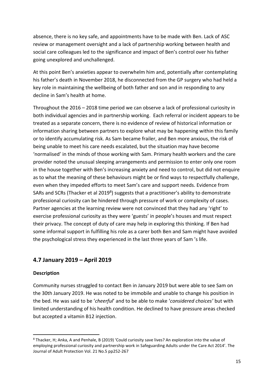absence, there is no key safe, and appointments have to be made with Ben. Lack of ASC review or management oversight and a lack of partnership working between health and social care colleagues led to the significance and impact of Ben's control over his father going unexplored and unchallenged.

At this point Ben's anxieties appear to overwhelm him and, potentially after contemplating his father's death in November 2018, he disconnected from the GP surgery who had held a key role in maintaining the wellbeing of both father and son and in responding to any decline in Sam's health at home.

Throughout the 2016 – 2018 time period we can observe a lack of professional curiosity in both individual agencies and in partnership working. Each referral or incident appears to be treated as a separate concern, there is no evidence of review of historical information or information sharing between partners to explore what may be happening within this family or to identify accumulating risk. As Sam became frailer, and Ben more anxious, the risk of being unable to meet his care needs escalated, but the situation may have become 'normalised' in the minds of those working with Sam. Primary health workers and the care provider noted the unusual sleeping arrangements and permission to enter only one room in the house together with Ben's increasing anxiety and need to control, but did not enquire as to what the meaning of these behaviours might be or find ways to respectfully challenge, even when they impeded efforts to meet Sam's care and support needs. Evidence from SARs and SCRs (Thacker et al 2019<sup>8</sup>) suggests that a practitioner's ability to demonstrate professional curiosity can be hindered through pressure of work or complexity of cases. Partner agencies at the learning review were not convinced that they had any 'right' to exercise professional curiosity as they were 'guests' in people's houses and must respect their privacy. The concept of duty of care may help in exploring this thinking. If Ben had some informal support in fulfilling his role as a carer both Ben and Sam might have avoided the psychological stress they experienced in the last three years of Sam 's life.

# **4.7 January 2019 – April 2019**

#### **Description**

Community nurses struggled to contact Ben in January 2019 but were able to see Sam on the 30th January 2019. He was noted to be immobile and unable to change his position in the bed. He was said to be '*cheerful*' and to be able to make '*considered choices'* but with limited understanding of his health condition. He declined to have pressure areas checked but accepted a vitamin B12 injection.

<sup>8</sup> Thacker, H; Anka, A and Penhale, B (2019) 'Could curiosity save lives? An exploration into the value of employing professional curiosity and partnership work in Safeguarding Adults under the Care Act 2014'. The Journal of Adult Protection Vol. 21 No.5 pp252-267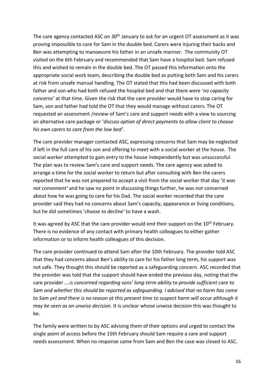The care agency contacted ASC on 30<sup>th</sup> January to ask for an urgent OT assessment as it was proving impossible to care for Sam in the double bed. Carers were injuring their backs and Ben was attempting to manoeuvre his father in an unsafe manner. The community OT visited on the 6th February and recommended that Sam have a hospital bed. Sam refused this and wished to remain in the double bed. The OT passed this information onto the appropriate social work team, describing the double bed as putting both Sam and his carers at risk from unsafe manual handling. The OT stated that this had been discussed with both father and son who had both refused the hospital bed and that there were '*no capacity concerns'* at that time. Given the risk that the care provider would have to stop caring for Sam, son and father had told the OT that they would manage without carers. The OT requested an assessment /review of Sam's care and support needs with a view to sourcing an alternative care package or '*discuss option of direct payments to allow client to choose his own carers to care from the low bed'*.

The care provider manager contacted ASC, expressing concerns that Sam may be neglected if left in the full care of his son and offering to meet with a social worker at the house. The social worker attempted to gain entry to the house independently but was unsuccessful. The plan was to review Sam's care and support needs. The care agency was asked to arrange a time for the social worker to return but after consulting with Ben the carers reported that he was not prepared to accept a visit from the social worker that day '*it was not convenient'* and he saw no point in discussing things further, he was not concerned about how he was going to care for his Dad. The social worker recorded that the care provider said they had no concerns about Sam's capacity, appearance or living conditions, but he did sometimes '*choose to decline'* to have a wash.

It was agreed by ASC that the care provider would end their support on the  $10<sup>th</sup>$  February. There is no evidence of any contact with primary health colleagues to either gather information or to inform health colleagues of this decision.

The care provider continued to attend Sam after the 10th February. The provider told ASC that they had concerns about Ben's ability to care for his father long term, his support was not safe. They thought this should be reported as a safeguarding concern. ASC recorded that the provider was told that the support should have ended the previous day, noting that the care provider *….is concerned regarding sons' long-term ability to provide sufficient care to Sam and whether this should be reported as safeguarding. I advised that no harm has come to Sam yet and there is no reason at this present time to suspect harm will occur although it may be seen as an unwise decision.* It is unclear whose unwise decision this was thought to be.

The family were written to by ASC advising them of their options and urged to contact the single point of access before the 15th February should Sam require a care and support needs assessment. When no response came from Sam and Ben the case was closed to ASC.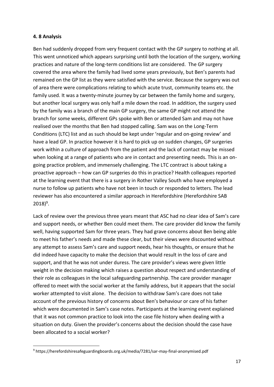#### **4. 8 Analysis**

Ben had suddenly dropped from very frequent contact with the GP surgery to nothing at all. This went unnoticed which appears surprising until both the location of the surgery, working practices and nature of the long-term conditions list are considered. The GP surgery covered the area where the family had lived some years previously, but Ben's parents had remained on the GP list as they were satisfied with the service. Because the surgery was out of area there were complications relating to which acute trust, community teams etc. the family used. It was a twenty-minute journey by car between the family home and surgery, but another local surgery was only half a mile down the road. In addition, the surgery used by the family was a branch of the main GP surgery, the same GP might not attend the branch for some weeks, different GPs spoke with Ben or attended Sam and may not have realised over the months that Ben had stopped calling. Sam was on the Long-Term Conditions (LTC) list and as such should be kept under 'regular and on-going review' and have a lead GP. In practice however it is hard to pick up on sudden changes, GP surgeries work within a culture of approach from the patient and the lack of contact may be missed when looking at a range of patients who are in contact and presenting needs. This is an ongoing practice problem, and immensely challenging. The LTC contract is about taking a proactive approach – how can GP surgeries do this in practice? Health colleagues reported at the learning event that there is a surgery in Rother Valley South who have employed a nurse to follow up patients who have not been in touch or responded to letters. The lead reviewer has also encountered a similar approach in Herefordshire (Herefordshire SAB  $2018)^9$ .

Lack of review over the previous three years meant that ASC had no clear idea of Sam's care and support needs, or whether Ben could meet them. The care provider did know the family well, having supported Sam for three years. They had grave concerns about Ben being able to meet his father's needs and made these clear, but their views were discounted without any attempt to assess Sam's care and support needs, hear his thoughts, or ensure that he did indeed have capacity to make the decision that would result in the loss of care and support, and that he was not under duress. The care provider's views were given little weight in the decision making which raises a question about respect and understanding of their role as colleagues in the local safeguarding partnership. The care provider manager offered to meet with the social worker at the family address, but it appears that the social worker attempted to visit alone. The decision to withdraw Sam's care does not take account of the previous history of concerns about Ben's behaviour or care of his father which were documented in Sam's case notes. Participants at the learning event explained that it was not common practice to look into the case file history when dealing with a situation on duty. Given the provider's concerns about the decision should the case have been allocated to a social worker?

<sup>9</sup> https://herefordshiresafeguardingboards.org.uk/media/7281/sar-may-final-anonymised.pdf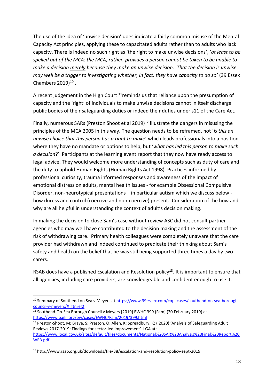The use of the idea of 'unwise decision' does indicate a fairly common misuse of the Mental Capacity Act principles, applying these to capacitated adults rather than to adults who lack capacity. There is indeed no such right as 'the right to make unwise decisions', '*at least to be spelled out of the MCA: the MCA, rather, provides a person cannot be taken to be unable to make a decision merely because they make an unwise decision. That the decision is unwise may well be a trigger to investigating whether, in fact, they have capacity to do so'* (39 Essex Chambers  $2019)$ <sup>10</sup>.

A recent judgement in the High Court  $11$  reminds us that reliance upon the presumption of capacity and the 'right' of individuals to make unwise decisions cannot in itself discharge public bodies of their safeguarding duties or indeed their duties under s11 of the Care Act.

Finally, numerous SARs (Preston Shoot et al 2019)<sup>12</sup> illustrate the dangers in misusing the principles of the MCA 2005 in this way. The question needs to be reframed, not '*is this an unwise choice that this person has a right to make*' which leads professionals into a position where they have no mandate or options to help, but '*what has led this person to make such a decision*?' Participants at the learning event report that they now have ready access to legal advice. They would welcome more understanding of concepts such as duty of care and the duty to uphold Human Rights (Human Rights Act 1998). Practices informed by professional curiosity, trauma informed responses and awareness of the impact of emotional distress on adults, mental health issues - for example Obsessional Compulsive Disorder, non-neurotypical presentations – in particular autism which we discuss below how duress and control (coercive and non-coercive) present. Consideration of the how and why are all helpful in understanding the context of adult's decision making.

In making the decision to close Sam's case without review ASC did not consult partner agencies who may well have contributed to the decision making and the assessment of the risk of withdrawing care. Primary health colleagues were completely unaware that the care provider had withdrawn and indeed continued to predicate their thinking about Sam's safety and health on the belief that he was still being supported three times a day by two carers.

RSAB does have a published Escalation and Resolution policy<sup>13</sup>. It is important to ensure that all agencies, including care providers, are knowledgeable and confident enough to use it.

<sup>&</sup>lt;sup>10</sup> Summary of Southend on Sea v Meyers at [https://www.39essex.com/cop\\_cases/southend-on-sea-borough](https://www.39essex.com/cop_cases/southend-on-sea-borough-council-v-meyers/#_ftnref2)[council-v-meyers/#\\_ftnref2](https://www.39essex.com/cop_cases/southend-on-sea-borough-council-v-meyers/#_ftnref2)

<sup>11</sup> Southend-On-Sea Borough Council v Meyers [2019] EWHC 399 (Fam) (20 February 2019) at <https://www.bailii.org/ew/cases/EWHC/Fam/2019/399.html>

<sup>&</sup>lt;sup>12</sup> Preston-Shoot, M; Braye, S; Preston, O; Allen, K; Spreadbury, K; (2020) 'Analysis of Safeguarding Adult Reviews 2017-2019: Findings for sector-led improvement' LGA at;

[https://www.local.gov.uk/sites/default/files/documents/National%20SAR%20Analysis%20Final%20Report%20](https://www.local.gov.uk/sites/default/files/documents/National%20SAR%20Analysis%20Final%20Report%20WEB.pdf) [WEB.pdf](https://www.local.gov.uk/sites/default/files/documents/National%20SAR%20Analysis%20Final%20Report%20WEB.pdf)

<sup>13</sup> http://www.rsab.org.uk/downloads/file/38/escalation-and-resolution-policy-sept-2019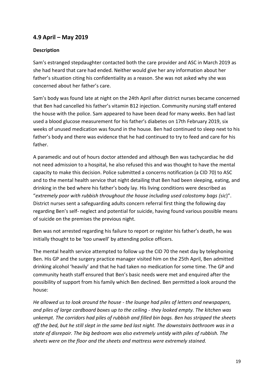# **4.9 April – May 2019**

#### **Description**

Sam's estranged stepdaughter contacted both the care provider and ASC in March 2019 as she had heard that care had ended. Neither would give her any information about her father's situation citing his confidentiality as a reason. She was not asked why she was concerned about her father's care.

Sam's body was found late at night on the 24th April after district nurses became concerned that Ben had cancelled his father's vitamin B12 injection. Community nursing staff entered the house with the police. Sam appeared to have been dead for many weeks. Ben had last used a blood glucose measurement for his father's diabetes on 17th February 2019, six weeks of unused medication was found in the house. Ben had continued to sleep next to his father's body and there was evidence that he had continued to try to feed and care for his father.

A paramedic and out of hours doctor attended and although Ben was tachycardiac he did not need admission to a hospital, he also refused this and was thought to have the mental capacity to make this decision. Police submitted a concerns notification (a CID 70) to ASC and to the mental health service that night detailing that Ben had been sleeping, eating, and drinking in the bed where his father's body lay. His living conditions were described as "*extremely poor with rubbish throughout the house including used colostomy bags (sic*)". District nurses sent a safeguarding adults concern referral first thing the following day regarding Ben's self- neglect and potential for suicide, having found various possible means of suicide on the premises the previous night.

Ben was not arrested regarding his failure to report or register his father's death, he was initially thought to be 'too unwell' by attending police officers.

The mental health service attempted to follow up the CID 70 the next day by telephoning Ben. His GP and the surgery practice manager visited him on the 25th April, Ben admitted drinking alcohol 'heavily' and that he had taken no medication for some time. The GP and community heath staff ensured that Ben's basic needs were met and enquired after the possibility of support from his family which Ben declined. Ben permitted a look around the house:

*He allowed us to look around the house - the lounge had piles of letters and newspapers, and piles of large cardboard boxes up to the ceiling - they looked empty. The kitchen was unkempt. The corridors had piles of rubbish and filled bin bags. Ben has stripped the sheets off the bed, but he still slept in the same bed last night. The downstairs bathroom was in a state of disrepair. The big bedroom was also extremely untidy with piles of rubbish. The sheets were on the floor and the sheets and mattress were extremely stained.*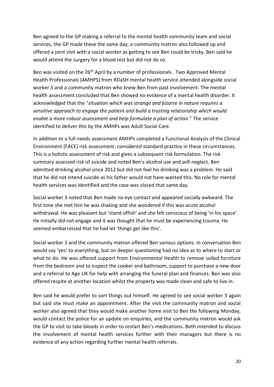Ben agreed to the GP making a referral to the mental health community team and social services, the GP made these the same day, a community matron also followed up and offered a joint visit with a social worker as getting to see Ben could be tricky. Ben said he would attend the surgery for a blood test but did not do so.

Ben was visited on the 26<sup>th</sup> April by a number of professionals. Two Approved Mental Health Professionals (AMHPS) from RDaSH mental health service attended alongside social worker 3 and a community matron who knew Ben from past involvement. The mental health assessment concluded that Ben showed no evidence of a mental health disorder. It acknowledged that the "*situation which was strange and bizarre in nature requires a sensitive approach to engage the patient and build a trusting relationship which would enable a more robust assessment and help formulate a plan of action*." The service identified to deliver this by the AMHPs was Adult Social Care.

In addition to a full needs assessment AMHPs completed a Functional Analysis of the Clinical Environment (FACE) risk assessment, considered standard practice in these circumstances. This is a holistic assessment of risk and gives a subsequent risk formulation. The risk summary assessed risk of suicide and noted Ben's alcohol use and self-neglect. Ben admitted drinking alcohol since 2012 but did not feel his drinking was a problem. He said that he did not intend suicide as his father would not have wanted this. No role for mental health services was identified and the case was closed that same day.

Social worker 3 noted that Ben made no eye contact and appeared socially awkward. The first time she met him he was shaking and she wondered if this was acute alcohol withdrawal. He was pleasant but 'stand offish' and she felt conscious of being 'in his space'. He initially did not engage and it was thought that he must be experiencing trauma. He seemed embarrassed that he had let 'things get like this'.

Social worker 3 and the community matron offered Ben various options. In conversation Ben would say 'yes' to everything, but on deeper questioning had no idea as to where to start or what to do. He was offered support from Environmental Health to remove soiled furniture from the bedroom and to inspect the cooker and bathroom, support to purchase a new door and a referral to Age UK for help with arranging the funeral plan and finances. Ben was also offered respite at another location whilst the property was made clean and safe to live in.

Ben said he would prefer to sort things out himself. He agreed to see social worker 3 again but said she must make an appointment. After the visit the community matron and social worker also agreed that they would make another home visit to Ben the following Monday, would contact the police for an update on enquiries, and the community matron would ask the GP to visit to take bloods in order to restart Ben's medications. Both intended to discuss the involvement of mental health services further with their managers but there is no evidence of any action regarding further mental health referrals.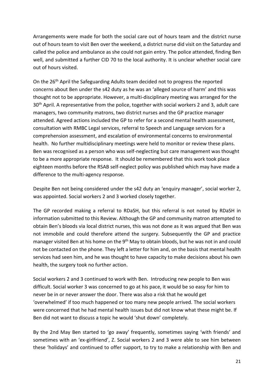Arrangements were made for both the social care out of hours team and the district nurse out of hours team to visit Ben over the weekend, a district nurse did visit on the Saturday and called the police and ambulance as she could not gain entry. The police attended, finding Ben well, and submitted a further CID 70 to the local authority. It is unclear whether social care out of hours visited.

On the 26<sup>th</sup> April the Safeguarding Adults team decided not to progress the reported concerns about Ben under the s42 duty as he was an 'alleged source of harm' and this was thought not to be appropriate. However, a multi-disciplinary meeting was arranged for the 30<sup>th</sup> April. A representative from the police, together with social workers 2 and 3, adult care managers, two community matrons, two district nurses and the GP practice manager attended. Agreed actions included the GP to refer for a second mental health assessment, consultation with RMBC Legal services, referral to Speech and Language services for a comprehension assessment, and escalation of environmental concerns to environmental health. No further multidisciplinary meetings were held to monitor or review these plans. Ben was recognised as a person who was self-neglecting but care management was thought to be a more appropriate response. It should be remembered that this work took place eighteen months before the RSAB self-neglect policy was published which may have made a difference to the multi-agency response.

Despite Ben not being considered under the s42 duty an 'enquiry manager', social worker 2, was appointed. Social workers 2 and 3 worked closely together.

The GP recorded making a referral to RDaSH, but this referral is not noted by RDaSH in information submitted to this Review. Although the GP and community matron attempted to obtain Ben's bloods via local district nurses, this was not done as it was argued that Ben was not immobile and could therefore attend the surgery. Subsequently the GP and practice manager visited Ben at his home on the 9<sup>th</sup> May to obtain bloods, but he was not in and could not be contacted on the phone. They left a letter for him and, on the basis that mental health services had seen him, and he was thought to have capacity to make decisions about his own health, the surgery took no further action.

Social workers 2 and 3 continued to work with Ben. Introducing new people to Ben was difficult. Social worker 3 was concerned to go at his pace, it would be so easy for him to never be in or never answer the door. There was also a risk that he would get 'overwhelmed' if too much happened or too many new people arrived. The social workers were concerned that he had mental health issues but did not know what these might be. If Ben did not want to discuss a topic he would 'shut down' completely.

By the 2nd May Ben started to 'go away' frequently, sometimes saying 'with friends' and sometimes with an 'ex-girlfriend', Z. Social workers 2 and 3 were able to see him between these 'holidays' and continued to offer support, to try to make a relationship with Ben and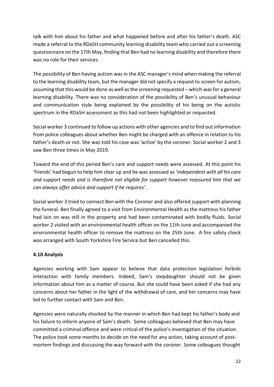talk with him about his father and what happened before and after his father's death. ASC made a referral to the RDaSH community learning disability team who carried out a screening questionnaire on the 17th May, finding that Ben had no learning disability and therefore there was no role for their services.

The possibility of Ben having autism was in the ASC manager's mind when making the referral to the learning disability team, but the manager did not specify a request to screen for autism, assuming that this would be done as well as the screening requested – which was for a general learning disability. There was no consideration of the possibility of Ben's unusual behaviour and communication style being explained by the possibility of his being on the autistic spectrum in the RDaSH assessment as this had not been highlighted or requested.

Social worker 3 continued to follow up actions with other agencies and to find out information from police colleagues about whether Ben might be charged with an offence in relation to his father's death or not. She was told his case was 'active' by the coroner. Social worker 2 and 3 saw Ben three times in May 2019.

Toward the end of this period Ben's care and support needs were assessed. At this point his 'friends' had begun to help him clear up and he was assessed as '*independent with all his care and support needs and is therefore not eligible for support however reassured him that we can always offer advice and support if he requires*'.

Social worker 3 tried to connect Ben with the Coroner and also offered support with planning the funeral. Ben finally agreed to a visit from Environmental Health as the mattress his father had lain on was still in the property and had been contaminated with bodily fluids. Social worker 2 visited with an environmental health officer on the 11th June and accompanied the environmental health officer to remove the mattress on the 25th June. A fire safety check was arranged with South Yorkshire Fire Service but Ben cancelled this.

## **4.10 Analysis**

Agencies working with Sam appear to believe that data protection legislation forbids interaction with family members. Indeed, Sam's stepdaughter should not be given information about him as a matter of course. But she could have been asked if she had any concerns about her father in the light of the withdrawal of care, and her concerns may have led to further contact with Sam and Ben.

Agencies were naturally shocked by the manner in which Ben had kept his father's body and his failure to inform anyone of Sam's death. Some colleagues believed that Ben may have committed a criminal offence and were critical of the police's investigation of the situation. The police took some months to decide on the need for any action, taking account of postmortem findings and discussing the way forward with the coroner. Some colleagues thought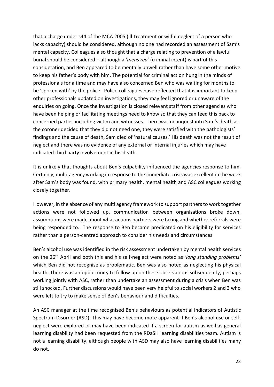that a charge under s44 of the MCA 2005 (ill-treatment or wilful neglect of a person who lacks capacity) should be considered, although no one had recorded an assessment of Sam's mental capacity. Colleagues also thought that a charge relating to prevention of a lawful burial should be considered – although a '*mens rea*' (criminal intent) is part of this consideration, and Ben appeared to be mentally unwell rather than have some other motive to keep his father's body with him. The potential for criminal action hung in the minds of professionals for a time and may have also concerned Ben who was waiting for months to be 'spoken with' by the police. Police colleagues have reflected that it is important to keep other professionals updated on investigations, they may feel ignored or unaware of the enquiries on going. Once the investigation is closed relevant staff from other agencies who have been helping or facilitating meetings need to know so that they can feed this back to concerned parties including victim and witnesses. There was no inquest into Sam's death as the coroner decided that they did not need one, they were satisfied with the pathologists' findings and the cause of death, Sam died of 'natural causes.' His death was not the result of neglect and there was no evidence of any external or internal injuries which may have indicated third party involvement in his death.

It is unlikely that thoughts about Ben's culpability influenced the agencies response to him. Certainly, multi-agency working in response to the immediate crisis was excellent in the week after Sam's body was found, with primary health, mental health and ASC colleagues working closely together.

However, in the absence of any multi agency framework to support partners to work together actions were not followed up, communication between organisations broke down, assumptions were made about what actions partners were taking and whether referrals were being responded to. The response to Ben became predicated on his eligibility for services rather than a person-centred approach to consider his needs and circumstances.

Ben's alcohol use was identified in the risk assessment undertaken by mental health services on the 26th April and both this and his self-neglect were noted as *'long standing problems'* which Ben did not recognise as problematic. Ben was also noted as neglecting his physical health. There was an opportunity to follow up on these observations subsequently, perhaps working jointly with ASC, rather than undertake an assessment during a crisis when Ben was still shocked. Further discussions would have been very helpful to social workers 2 and 3 who were left to try to make sense of Ben's behaviour and difficulties.

An ASC manager at the time recognised Ben's behaviours as potential indicators of Autistic Spectrum Disorder (ASD). This may have become more apparent if Ben's alcohol use or selfneglect were explored or may have been indicated if a screen for autism as well as general learning disability had been requested from the RDaSH learning disabilities team. Autism is not a learning disability, although people with ASD may also have learning disabilities many do not.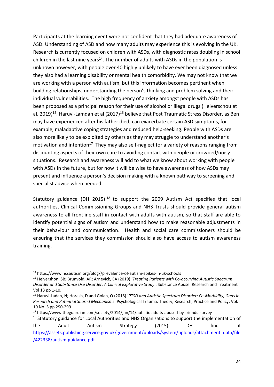Participants at the learning event were not confident that they had adequate awareness of ASD. Understanding of ASD and how many adults may experience this is evolving in the UK. Research is currently focused on children with ASDs, with diagnostic rates doubling in school children in the last nine years<sup>14</sup>. The number of adults with ASDs in the population is unknown however, with people over 40 highly unlikely to have ever been diagnosed unless they also had a learning disability or mental health comorbidity. We may not know that we are working with a person with autism, but this information becomes pertinent when building relationships, understanding the person's thinking and problem solving and their individual vulnerabilities. The high frequency of anxiety amongst people with ASDs has been proposed as a principal reason for their use of alcohol or illegal drugs (Helverschou et al. 2019)<sup>15</sup>. Haruvi-Lamdan et al (2017)<sup>16</sup> believe that Post Traumatic Stress Disorder, as Ben may have experienced after his father died, can exacerbate certain ASD symptoms, for example, maladaptive coping strategies and reduced help-seeking. People with ASDs are also more likely to be exploited by others as they may struggle to understand another's motivation and intention<sup>17</sup> They may also self-neglect for a variety of reasons ranging from discounting aspects of their own care to avoiding contact with people or crowded/noisy situations. Research and awareness will add to what we know about working with people with ASDs in the future, but for now it will be wise to have awareness of how ASDs may present and influence a person's decision making with a known pathway to screening and specialist advice when needed.

Statutory guidance (DH 2015)<sup>18</sup> to support the 2009 Autism Act specifies that local authorities, Clinical Commissioning Groups and NHS Trusts should provide general autism awareness to all frontline staff in contact with adults with autism, so that staff are able to identify potential signs of autism and understand how to make reasonable adjustments in their behaviour and communication. Health and social care commissioners should be ensuring that the services they commission should also have access to autism awareness training.

<sup>14</sup> https://www.ncsautism.org/blog//prevalence-of-autism-spikes-in-uk-schools

<sup>15</sup> Helvershon, SB; Brunvold, AR; Arnevick, EA (2019) '*Treating Patients with Co-occurring Autistic Spectrum Disorder and Substance Use Disorder: A Clinical Explorative Study'*. Substance Abuse: Research and Treatment Vol 13 pp 1-10.

<sup>16</sup> Haruvi-Ladan, N; Horesh, D and Golan, O (2018) '*PTSD and Autistic Spectrum Disorder: Co-Morbidity, Gaps in Research and Potential Shared Mechanisms*' Psychological Trauma: Theory, Research, Practice and Policy; Vol. 10 No. 3 pp 290-299.

<sup>17</sup> https://www.theguardian.com/society/2014/jun/14/autistic-adults-abused-by-friends-survey

<sup>&</sup>lt;sup>18</sup> Statutory guidance for Local Authorities and NHS Organisations to support the implementation of the Adult Autism Strategy (2015) DH find at [https://assets.publishing.service.gov.uk/government/uploads/system/uploads/attachment\\_data/file](https://assets.publishing.service.gov.uk/government/uploads/system/uploads/attachment_data/file/422338/autism-guidance.pdf) [/422338/autism-guidance.pdf](https://assets.publishing.service.gov.uk/government/uploads/system/uploads/attachment_data/file/422338/autism-guidance.pdf)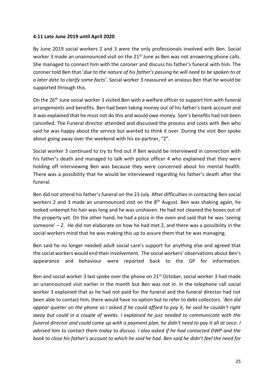#### **4.11 Late June 2019 until April 2020**

By June 2019 social workers 2 and 3 were the only professionals involved with Ben. Social worker 3 made an unannounced visit on the 21<sup>st</sup> June as Ben was not answering phone calls. She managed to connect him with the coroner and discuss his father's funeral with him. The coroner told Ben that '*due to the nature of his father's passing he will need to be spoken to at a later date to clarify some facts'*. Social worker 3 reassured an anxious Ben that he would be supported through this.

On the 26<sup>th</sup> June social worker 3 visited Ben with a welfare officer to support him with funeral arrangements and benefits. Ben had been taking money out of his father's bank account and it was explained that he must not do this and would owe money. Sam's benefits had not been cancelled. The Funeral director attended and discussed the process and costs with Ben who said he was happy about the service but wanted to think it over. During the visit Ben spoke about going away over the weekend with his ex-partner, "Z".

Social worker 3 continued to try to find out if Ben would be interviewed in connection with his father's death and managed to talk with police officer 4 who explained that they were holding off interviewing Ben was because they were concerned about his mental health. There was a possibility that he would be interviewed regarding his father's death after the funeral.

Ben did not attend his father's funeral on the 23 July. After difficulties in contacting Ben social workers 2 and 3 made an unannounced visit on the 8<sup>th</sup> August. Ben was shaking again, he looked unkempt his hair was long and he was unshaven. He had not cleaned the boxes out of the property yet. On the other hand, he had a pizza in the oven and said that he was 'seeing someone'  $-$  Z. He did not elaborate on how he had met Z, and there was a possibility in the social workers mind that he was making this up to assure them that he was managing.

Ben said he no longer needed adult social care's support for anything else and agreed that the social workers would end their involvement. The social workers' observations about Ben's appearance and behaviour were reported back to the GP for information.

Ben and social worker 3 last spoke over the phone on 21<sup>st</sup> October, social worker 3 had made an unannounced visit earlier in the month but Ben was not in. In the telephone call social worker 3 explained that as he had not paid for the funeral and the funeral director had not been able to contact him, there would have no option but to refer to debt collectors. '*Ben did appear quieter on the phone so I asked if he could afford to pay it, he said he couldn't right away but could in a couple of weeks. I explained he just needed to communicate with the funeral director and could come up with a payment plan, he didn't need to pay it all at once. I advised him to contact them today to discuss. I also asked if he had contacted DWP and the bank to close his father's account to which he said he had. Ben said he didn't feel the need for*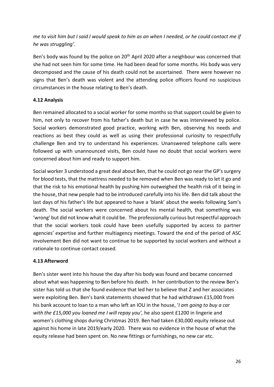*me to visit him but I said I would speak to him as an when I needed, or he could contact me if he was struggling'.*

Ben's body was found by the police on 20<sup>th</sup> April 2020 after a neighbour was concerned that she had not seen him for some time. He had been dead for some months. His body was very decomposed and the cause of his death could not be ascertained. There were however no signs that Ben's death was violent and the attending police officers found no suspicious circumstances in the house relating to Ben's death.

## **4.12 Analysis**

Ben remained allocated to a social worker for some months so that support could be given to him, not only to recover from his father's death but in case he was interviewed by police. Social workers demonstrated good practice, working with Ben, observing his needs and reactions as best they could as well as using their professional curiosity to respectfully challenge Ben and try to understand his experiences. Unanswered telephone calls were followed up with unannounced visits, Ben could have no doubt that social workers were concerned about him and ready to support him.

Social worker 3 understood a great deal about Ben, that he could not go near the GP's surgery for blood tests, that the mattress needed to be removed when Ben was ready to let it go and that the risk to his emotional health by pushing him outweighed the health risk of it being in the house, that new people had to be introduced carefully into his life. Ben did talk about the last days of his father's life but appeared to have a 'blank' about the weeks following Sam's death. The social workers were concerned about his mental health, that something was 'wrong' but did not know what it could be. The professionally curious but respectful approach that the social workers took could have been usefully supported by access to partner agencies' expertise and further multiagency meetings. Toward the end of the period of ASC involvement Ben did not want to continue to be supported by social workers and without a rationale to continue contact ceased.

# **4.13 Afterword**

Ben's sister went into his house the day after his body was found and became concerned about what was happening to Ben before his death. In her contribution to the review Ben's sister has told us that she found evidence that led her to believe that Z and her associates were exploiting Ben. Ben's bank statements showed that he had withdrawn £15,000 from his bank account to loan to a man who left an IOU in the house, '*I am going to buy a car with the £15,000 you loaned me I will repay you',* he also spent £1200 in lingerie and women's clothing shops during Christmas 2019. Ben had taken £30,000 equity release out against his home in late 2019/early 2020. There was no evidence in the house of what the equity release had been spent on. No new fittings or furnishings, no new car etc.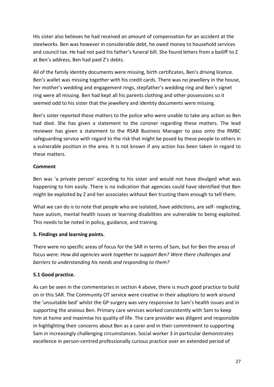His sister also believes he had received an amount of compensation for an accident at the steelworks. Ben was however in considerable debt, he owed money to household services and council tax. He had not paid his father's funeral bill. She found letters from a bailiff to Z at Ben's address, Ben had paid Z's debts.

All of the family identity documents were missing, birth certificates, Ben's driving licence. Ben's wallet was missing together with his credit cards. There was no jewellery in the house, her mother's wedding and engagement rings, stepfather's wedding ring and Ben's signet ring were all missing. Ben had kept all his parents clothing and other possessions so it seemed odd to his sister that the jewellery and identity documents were missing.

Ben's sister reported these matters to the police who were unable to take any action as Ben had died. She has given a statement to the coroner regarding these matters. The lead reviewer has given a statement to the RSAB Business Manager to pass onto the RMBC safeguarding service with regard to the risk that might be posed by these people to others in a vulnerable position in the area. It is not known if any action has been taken in regard to these matters.

### **Comment**

Ben was 'a private person' according to his sister and would not have divulged what was happening to him easily. There is no indication that agencies could have identified that Ben might be exploited by Z and her associates without Ben trusting them enough to tell them.

What we can do is to note that people who are isolated, have addictions, are self- neglecting, have autism, mental health issues or learning disabilities are vulnerable to being exploited. This needs to be noted in policy, guidance, and training.

## **5. Findings and learning points.**

There were no specific areas of focus for the SAR in terms of Sam, but for Ben the areas of focus were: *How did agencies work together to support Ben? Were there challenges and barriers to understanding his needs and responding to them?* 

## **5.1 Good practice.**

As can be seen in the commentaries in section 4 above, there is much good practice to build on in this SAR. The Community OT service were creative in their adaptions to work around the 'unsuitable bed' whilst the GP surgery was very responsive to Sam's health issues and in supporting the anxious Ben. Primary care services worked consistently with Sam to keep him at home and maximise his quality of life. The care provider was diligent and responsible in highlighting their concerns about Ben as a carer and in their commitment to supporting Sam in increasingly challenging circumstances. Social worker 3 in particular demonstrates excellence in person-centred professionally curious practice over an extended period of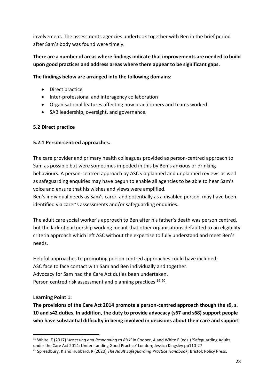involvement**.** The assessments agencies undertook together with Ben in the brief period after Sam's body was found were timely.

## **There are a number of areas where findings indicate that improvements are needed to build upon good practices and address areas where there appear to be significant gaps.**

#### **The findings below are arranged into the following domains:**

- Direct practice
- Inter-professional and interagency collaboration
- Organisational features affecting how practitioners and teams worked.
- SAB leadership, oversight, and governance.

### **5.2 Direct practice**

### **5.2.1 Person-centred approaches.**

The care provider and primary health colleagues provided as person-centred approach to Sam as possible but were sometimes impeded in this by Ben's anxious or drinking behaviours. A person-centred approach by ASC via planned and unplanned reviews as well as safeguarding enquiries may have begun to enable all agencies to be able to hear Sam's voice and ensure that his wishes and views were amplified.

Ben's individual needs as Sam's carer, and potentially as a disabled person, may have been identified via carer's assessments and/or safeguarding enquiries.

The adult care social worker's approach to Ben after his father's death was person centred, but the lack of partnership working meant that other organisations defaulted to an eligibility criteria approach which left ASC without the expertise to fully understand and meet Ben's needs.

Helpful approaches to promoting person centred approaches could have included: ASC face to face contact with Sam and Ben individually and together. Advocacy for Sam had the Care Act duties been undertaken. Person centred risk assessment and planning practices <sup>19 20</sup>.

## **Learning Point 1:**

**The provisions of the Care Act 2014 promote a person-centred approach though the s9, s. 10 and s42 duties. In addition, the duty to provide advocacy (s67 and s68) support people who have substantial difficulty in being involved in decisions about their care and support** 

<sup>19</sup> White, E (2017) '*Assessing and Responding to Risk'* in Cooper, A and White E (eds.) 'Safeguarding Adults under the Care Act 2014: Understanding Good Practice' London; Jessica Kingsley pp110-27

<sup>20</sup> Spreadbury, K and Hubbard, R (2020) *The Adult Safeguarding Practice Handbook;* Bristol; Policy Press.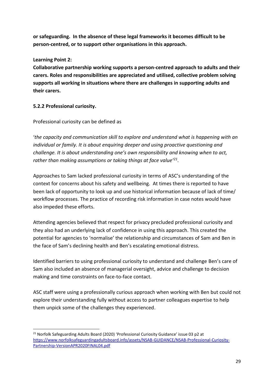**or safeguarding. In the absence of these legal frameworks it becomes difficult to be person-centred, or to support other organisations in this approach.**

### **Learning Point 2:**

**Collaborative partnership working supports a person-centred approach to adults and their carers. Roles and responsibilities are appreciated and utilised, collective problem solving supports all working in situations where there are challenges in supporting adults and their carers.** 

### **5.2.2 Professional curiosity.**

### Professional curiosity can be defined as

'*the capacity and communication skill to explore and understand what is happening with an individual or family. It is about enquiring deeper and using proactive questioning and challenge. It is about understanding one's own responsibility and knowing when to act, rather than making assumptions or taking things at face value'<sup>21</sup> .*

Approaches to Sam lacked professional curiosity in terms of ASC's understanding of the context for concerns about his safety and wellbeing. At times there is reported to have been lack of opportunity to look up and use historical information because of lack of time/ workflow processes. The practice of recording risk information in case notes would have also impeded these efforts.

Attending agencies believed that respect for privacy precluded professional curiosity and they also had an underlying lack of confidence in using this approach. This created the potential for agencies to 'normalise' the relationship and circumstances of Sam and Ben in the face of Sam's declining health and Ben's escalating emotional distress.

Identified barriers to using professional curiosity to understand and challenge Ben's care of Sam also included an absence of managerial oversight, advice and challenge to decision making and time constraints on face-to-face contact.

ASC staff were using a professionally curious approach when working with Ben but could not explore their understanding fully without access to partner colleagues expertise to help them unpick some of the challenges they experienced.

<sup>&</sup>lt;sup>21</sup> Norfolk Safeguarding Adults Board (2020) 'Professional Curiosity Guidance' issue 03 p2 at [https://www.norfolksafeguardingadultsboard.info/assets/NSAB-GUIDANCE/NSAB-Professional-Curiosity-](https://www.norfolksafeguardingadultsboard.info/assets/NSAB-GUIDANCE/NSAB-Professional-Curiosity-Partnership-VersionAPR2020FINAL04.pdf)[Partnership-VersionAPR2020FINAL04.pdf](https://www.norfolksafeguardingadultsboard.info/assets/NSAB-GUIDANCE/NSAB-Professional-Curiosity-Partnership-VersionAPR2020FINAL04.pdf)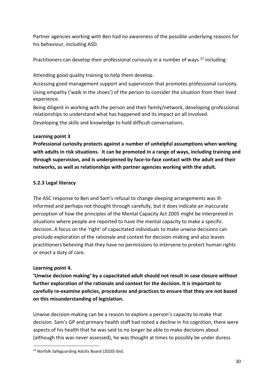Partner agencies working with Ben had no awareness of the possible underlying reasons for his behaviour, including ASD.

Practitioners can develop their professional curiously in a number of ways <sup>22</sup> including:

Attending good quality training to help them develop.

Accessing good management support and supervision that promotes professional curiosity. Using empathy ('walk in the shoes') of the person to consider the situation from their lived experience.

Being diligent in working with the person and their family/network, developing professional relationships to understand what has happened and its impact on all involved. Developing the skills and knowledge to hold difficult conversations.

# **Learning point 3**

**Professional curiosity protects against a number of unhelpful assumptions when working with adults in risk situations. It can be promoted in a range of ways, including training and through supervision, and is underpinned by face-to-face contact with the adult and their networks, as well as relationships with partner agencies working with the adult.** 

# **5.2.3 Legal literacy**

The ASC response to Ben and Sam's refusal to change sleeping arrangements was illinformed and perhaps not thought through carefully, but it does indicate an inaccurate perception of how the principles of the Mental Capacity Act 2005 might be interpreted in situations where people are reported to have the mental capacity to make a specific decision. A focus on the 'right' of capacitated individuals to make unwise decisions can preclude exploration of the rationale and context for decision-making and also leaves practitioners believing that they have no permissions to intervene to protect human rights or enact a duty of care.

## **Learning point 4.**

**'Unwise decision making' by a capacitated adult should not result in case closure without further exploration of the rationale and context for the decision. It is important to carefully re-examine policies, procedures and practices to ensure that they are not based on this misunderstanding of legislation.** 

Unwise decision-making can be a reason to explore a person's capacity to make that decision. Sam's GP and primary health staff had noted a decline in his cognition, there were aspects of his health that he was said to no longer be able to make decisions about (although this was never assessed), he was thought at times to possibly be under duress

<sup>22</sup> Norfolk Safeguarding Adults Board (2020) ibid.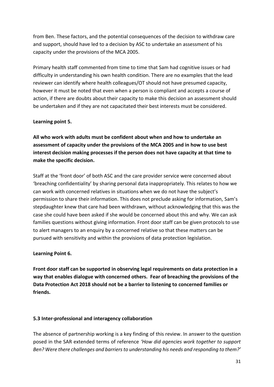from Ben. These factors, and the potential consequences of the decision to withdraw care and support, should have led to a decision by ASC to undertake an assessment of his capacity under the provisions of the MCA 2005.

Primary health staff commented from time to time that Sam had cognitive issues or had difficulty in understanding his own health condition. There are no examples that the lead reviewer can identify where health colleagues/OT should not have presumed capacity, however it must be noted that even when a person is compliant and accepts a course of action, if there are doubts about their capacity to make this decision an assessment should be undertaken and if they are not capacitated their best interests must be considered.

### **Learning point 5.**

**All who work with adults must be confident about when and how to undertake an assessment of capacity under the provisions of the MCA 2005 and in how to use best interest decision making processes if the person does not have capacity at that time to make the specific decision.** 

Staff at the 'front door' of both ASC and the care provider service were concerned about 'breaching confidentiality' by sharing personal data inappropriately. This relates to how we can work with concerned relatives in situations when we do not have the subject's permission to share their information. This does not preclude asking for information, Sam's stepdaughter knew that care had been withdrawn, without acknowledging that this was the case she could have been asked if she would be concerned about this and why. We can ask families questions without giving information. Front door staff can be given protocols to use to alert managers to an enquiry by a concerned relative so that these matters can be pursued with sensitivity and within the provisions of data protection legislation.

#### **Learning Point 6.**

**Front door staff can be supported in observing legal requirements on data protection in a way that enables dialogue with concerned others. Fear of breaching the provisions of the Data Protection Act 2018 should not be a barrier to listening to concerned families or friends.** 

#### **5.3 Inter-professional and interagency collaboration**

The absence of partnership working is a key finding of this review. In answer to the question posed in the SAR extended terms of reference *'How did agencies work together to support Ben? Were there challenges and barriers to understanding his needs and responding to them?'*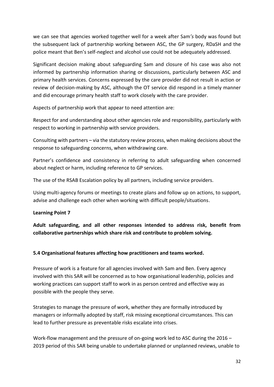we can see that agencies worked together well for a week after Sam*'s* body was found but the subsequent lack of partnership working between ASC, the GP surgery, RDaSH and the police meant that Ben's self-neglect and alcohol use could not be adequately addressed.

Significant decision making about safeguarding Sam and closure of his case was also not informed by partnership information sharing or discussions, particularly between ASC and primary health services. Concerns expressed by the care provider did not result in action or review of decision-making by ASC, although the OT service did respond in a timely manner and did encourage primary health staff to work closely with the care provider.

Aspects of partnership work that appear to need attention are:

Respect for and understanding about other agencies role and responsibility, particularly with respect to working in partnership with service providers.

Consulting with partners – via the statutory review process, when making decisions about the response to safeguarding concerns, when withdrawing care.

Partner's confidence and consistency in referring to adult safeguarding when concerned about neglect or harm, including reference to GP services.

The use of the RSAB Escalation policy by all partners, including service providers.

Using multi-agency forums or meetings to create plans and follow up on actions, to support, advise and challenge each other when working with difficult people/situations.

#### **Learning Point 7**

**Adult safeguarding, and all other responses intended to address risk, benefit from collaborative partnerships which share risk and contribute to problem solving.** 

#### **5.4 Organisational features affecting how practitioners and teams worked.**

Pressure of work is a feature for all agencies involved with Sam and Ben. Every agency involved with this SAR will be concerned as to how organisational leadership, policies and working practices can support staff to work in as person centred and effective way as possible with the people they serve.

Strategies to manage the pressure of work, whether they are formally introduced by managers or informally adopted by staff, risk missing exceptional circumstances. This can lead to further pressure as preventable risks escalate into crises.

Work-flow management and the pressure of on-going work led to ASC during the 2016 – 2019 period of this SAR being unable to undertake planned or unplanned reviews, unable to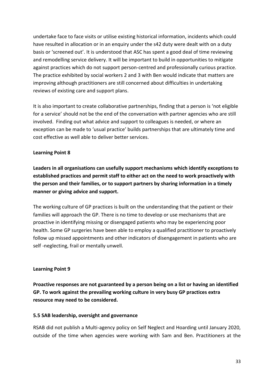undertake face to face visits or utilise existing historical information, incidents which could have resulted in allocation or in an enquiry under the s42 duty were dealt with on a duty basis or 'screened out'. It is understood that ASC has spent a good deal of time reviewing and remodelling service delivery. It will be important to build in opportunities to mitigate against practices which do not support person-centred and professionally curious practice. The practice exhibited by social workers 2 and 3 with Ben would indicate that matters are improving although practitioners are still concerned about difficulties in undertaking reviews of existing care and support plans.

It is also important to create collaborative partnerships, finding that a person is 'not eligible for a service' should not be the end of the conversation with partner agencies who are still involved. Finding out what advice and support to colleagues is needed, or where an exception can be made to 'usual practice' builds partnerships that are ultimately time and cost effective as well able to deliver better services.

### **Learning Point 8**

**Leaders in all organisations can usefully support mechanisms which identify exceptions to established practices and permit staff to either act on the need to work proactively with the person and their families, or to support partners by sharing information in a timely manner or giving advice and support.** 

The working culture of GP practices is built on the understanding that the patient or their families will approach the GP. There is no time to develop or use mechanisms that are proactive in identifying missing or disengaged patients who may be experiencing poor health. Some GP surgeries have been able to employ a qualified practitioner to proactively follow up missed appointments and other indicators of disengagement in patients who are self -neglecting, frail or mentally unwell.

#### **Learning Point 9**

**Proactive responses are not guaranteed by a person being on a list or having an identified GP. To work against the prevailing working culture in very busy GP practices extra resource may need to be considered.** 

#### **5.5 SAB leadership, oversight and governance**

RSAB did not publish a Multi-agency policy on Self Neglect and Hoarding until January 2020, outside of the time when agencies were working with Sam and Ben. Practitioners at the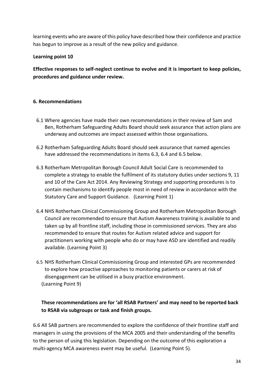learning events who are aware of this policy have described how their confidence and practice has begun to improve as a result of the new policy and guidance.

### **Learning point 10**

**Effective responses to self-neglect continue to evolve and it is important to keep policies, procedures and guidance under review.** 

### **6. Recommendations**

- 6.1 Where agencies have made their own recommendations in their review of Sam and Ben, Rotherham Safeguarding Adults Board should seek assurance that action plans are underway and outcomes are impact assessed within those organisations.
- 6.2 Rotherham Safeguarding Adults Board should seek assurance that named agencies have addressed the recommendations in items 6.3, 6.4 and 6.5 below.
- 6.3 Rotherham Metropolitan Borough Council Adult Social Care is recommended to complete a strategy to enable the fulfilment of its statutory duties under sections 9, 11 and 10 of the Care Act 2014. Any Reviewing Strategy and supporting procedures is to contain mechanisms to identify people most in need of review in accordance with the Statutory Care and Support Guidance. (Learning Point 1)
- 6.4 NHS Rotherham Clinical Commissioning Group and Rotherham Metropolitan Borough Council are recommended to ensure that Autism Awareness training is available to and taken up by all frontline staff, including those in commissioned services. They are also recommended to ensure that routes for Autism related advice and support for practitioners working with people who do or may have ASD are identified and readily available. (Learning Point 3)
- 6.5 NHS Rotherham Clinical Commissioning Group and interested GPs are recommended to explore how proactive approaches to monitoring patients or carers at risk of disengagement can be utilised in a busy practice environment. (Learning Point 9)

# **These recommendations are for 'all RSAB Partners' and may need to be reported back to RSAB via subgroups or task and finish groups.**

6.6 All SAB partners are recommended to explore the confidence of their frontline staff and managers in using the provisions of the MCA 2005 and their understanding of the benefits to the person of using this legislation. Depending on the outcome of this exploration a multi-agency MCA awareness event may be useful. (Learning Point 5).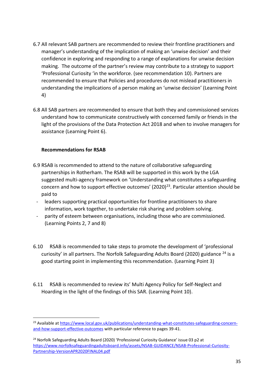- 6.7 All relevant SAB partners are recommended to review their frontline practitioners and manager's understanding of the implication of making an 'unwise decision' and their confidence in exploring and responding to a range of explanations for unwise decision making. The outcome of the partner's review may contribute to a strategy to support 'Professional Curiosity 'in the workforce. (see recommendation 10). Partners are recommended to ensure that Policies and procedures do not mislead practitioners in understanding the implications of a person making an 'unwise decision' (Learning Point 4)
- 6.8 All SAB partners are recommended to ensure that both they and commissioned services understand how to communicate constructively with concerned family or friends in the light of the provisions of the Data Protection Act 2018 and when to involve managers for assistance (Learning Point 6).

#### **Recommendations for RSAB**

- 6.9 RSAB is recommended to attend to the nature of collaborative safeguarding partnerships in Rotherham. The RSAB will be supported in this work by the LGA suggested multi-agency framework on 'Understanding what constitutes a safeguarding concern and how to support effective outcomes'  $(2020)^{23}$ . Particular attention should be paid to
	- leaders supporting practical opportunities for frontline practitioners to share information, work together, to undertake risk sharing and problem solving.
	- parity of esteem between organisations, including those who are commissioned. (Learning Points 2, 7 and 8)
- 6.10 RSAB is recommended to take steps to promote the development of 'professional curiosity' in all partners. The Norfolk Safeguarding Adults Board (2020) guidance  $^{24}$  is a good starting point in implementing this recommendation. (Learning Point 3)
- 6.11 RSAB is recommended to review its' Multi Agency Policy for Self-Neglect and Hoarding in the light of the findings of this SAR. (Learning Point 10).

<sup>&</sup>lt;sup>23</sup> Available a[t https://www.local.gov.uk/publications/understanding-what-constitutes-safeguarding-concern](https://www.local.gov.uk/publications/understanding-what-constitutes-safeguarding-concern-and-how-support-effective-outcomes)[and-how-support-effective-outcomes](https://www.local.gov.uk/publications/understanding-what-constitutes-safeguarding-concern-and-how-support-effective-outcomes) with particular reference to pages 39-41.

<sup>&</sup>lt;sup>24</sup> Norfolk Safeguarding Adults Board (2020) 'Professional Curiosity Guidance' issue 03 p2 at [https://www.norfolksafeguardingadultsboard.info/assets/NSAB-GUIDANCE/NSAB-Professional-Curiosity-](https://www.norfolksafeguardingadultsboard.info/assets/NSAB-GUIDANCE/NSAB-Professional-Curiosity-Partnership-VersionAPR2020FINAL04.pdf)[Partnership-VersionAPR2020FINAL04.pdf](https://www.norfolksafeguardingadultsboard.info/assets/NSAB-GUIDANCE/NSAB-Professional-Curiosity-Partnership-VersionAPR2020FINAL04.pdf)